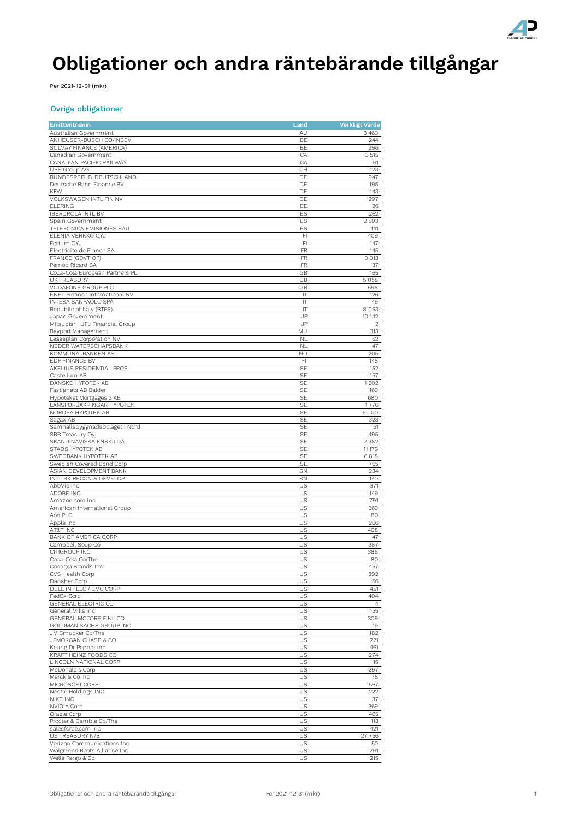

# **Obligationer och andra räntebärande tillgångar**

Per 2021-12-31 (mkr)

#### Övriga obligationer

| Emittentnamn                             | Land                   | Verkligt värde |
|------------------------------------------|------------------------|----------------|
| Australian Government                    | AU                     | 3460           |
| ANHEUSER-BUSCH CO/INBEV                  | BE                     | 244            |
| SOLVAY FINANCE (AMERICA)                 | BE                     | 296            |
| Canadian Government                      | CA                     | 3515           |
| CANADIAN PACIFIC RAILWAY                 | CA                     | 91             |
| UBS Group AG                             | CH                     | 123            |
| BUNDESREPUB. DEUTSCHLAND                 | DE                     | 947            |
| Deutsche Bahn Finance BV                 | DE                     | 195            |
| <b>KFW</b>                               | DE                     | 143            |
| VOLKSWAGEN INTL FIN NV<br><b>ELERING</b> | DE<br>EE               | 297<br>26      |
| <b>IBERDROLA INTL BV</b>                 | ES                     | 262            |
| Spain Government                         | ES                     | 2503           |
| TELEFONICA EMISIONES SAU                 | ES                     | 141            |
| ELENIA VERKKO OYJ                        | FI                     | 409            |
| Fortum OYJ                               | FI                     | 147            |
| Electricite de France SA                 | FR                     | 145            |
| FRANCE (GOVT OF)                         | FR                     | 3 0 1 3        |
| Pernod Ricard SA                         | FR                     | 37             |
| Coca-Cola European Partners PL           | GB                     | 165            |
| <b>UK TREASURY</b>                       | GB                     | 5058           |
| VODAFONE GROUP PLC                       | GB                     | 598            |
| ENEL Finance International NV            | IT                     | 126            |
| INTESA SANPAOLO SPA                      | IT                     | 49             |
| Republic of Italy (BTPS)                 | IT                     | 8 0 5 3        |
| Japan Government                         | JP                     | 10 142         |
| Mitsubishi UFJ Financial Group           | JP                     | $\overline{2}$ |
| Bayport Management                       | MU                     | 313            |
| Leaseplan Corporation NV                 | <b>NL</b>              | 52             |
| NEDER WATERSCHAPSBANK                    | <b>NL</b>              | 47             |
| KOMMUNALBANKEN AS                        | NO                     | 205            |
| EDP FINANCE BV                           | PT                     | 148            |
| AKELIUS RESIDENTIAL PROP<br>Castellum AB | <b>SE</b><br><b>SE</b> | 152            |
| DANSKE HYPOTEK AB                        | SE                     | 157<br>1602    |
| Fastighets AB Balder                     | SE                     | 169            |
| Hypoteket Mortgages 3 AB                 | <b>SE</b>              | 680            |
| LANSFORSAKRINGAR HYPOTEK                 | <b>SE</b>              | 1776           |
| NORDEA HYPOTEK AB                        | <b>SE</b>              | 5 0 0 0        |
| Sagax AB                                 | <b>SE</b>              | 323            |
| Samhallsbyggnadsbolaget i Nord           | SE                     | 51             |
| SBB Treasury Oyj                         | SE                     | 495            |
| SKANDINAVISKA ENSKILDA                   | SE                     | 2382           |
| STADSHYPOTEK AB                          | <b>SE</b>              | 11 179         |
| SWEDBANK HYPOTEK AB                      | <b>SE</b>              | 6818           |
| Swedish Covered Bond Corp                | <b>SE</b>              | 765            |
| ASIAN DEVELOPMENT BANK                   | SN                     | 234            |
| INTL BK RECON & DEVELOP                  | SN                     | 140            |
| AbbVie Inc                               | US                     | 371            |
| ADOBE INC                                | US                     | 149            |
| Amazon.com Inc                           | US                     | 791            |
| American International Group I           | US                     | 269            |
| Aon PLC                                  | US                     | 80             |
| Apple Inc                                | US                     | 266            |
| AT&T INC                                 | US                     | 408            |
| BANK OF AMERICA CORP                     | US<br>US               | 47<br>387      |
| Campbell Soup Co<br>CITIGROUP INC        | US                     | 388            |
| Coca-Cola Co/The                         | US                     | 80             |
| Conagra Brands Inc                       | US                     | 457            |
| CVS Health Corp                          | US                     | 292            |
| Danaher Corp                             | US                     | 56             |
| DELL INT LLC / EMC CORP                  | US                     | 451            |
| FedEx Corp                               | US                     | 404            |
| GENERAL ELECTRIC CO                      | US                     | $\overline{4}$ |
| General Mills Inc                        | US                     | 155            |
| GENERAL MOTORS FINL CO                   | US                     | 309            |
| GOLDMAN SACHS GROUP INC                  | US                     | 19             |
| JM Smucker Co/The                        | US                     | 182            |
| JPMORGAN CHASE & CO                      | US                     | 221            |
| Keurig Dr Pepper Inc                     | US                     | 461            |
| KRAFT HEINZ FOODS CO                     | US                     | 274            |
| LINCOLN NATIONAL CORP                    | US                     | 15             |
| McDonald's Corp                          | US                     | 297            |
| Merck & Co Inc                           | US                     | 78             |
| MICROSOFT CORP                           | US                     | 567            |
| Nestle Holdings INC                      | US                     | 222            |
| NIKE INC                                 | US                     | 37             |
| NVIDIA Corp                              | US                     | 369            |
| Oracle Corp<br>Procter & Gamble Co/The   | US<br>US               | 465<br>113     |
| salesforce.com inc                       | US                     | 421            |
| US TREASURY N/B                          | US                     | 27 756         |
| Verizon Communications Inc               | US                     | 50             |
| Walgreens Boots Alliance Inc             | US                     | 291            |
| Wells Fargo & Co                         | US                     | 215            |